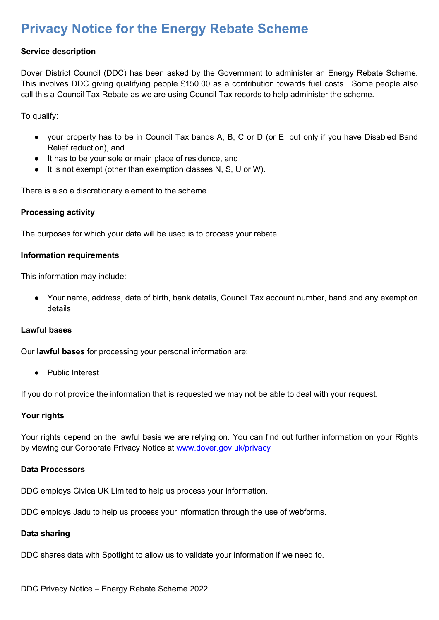# **Privacy Notice for the Energy Rebate Scheme**

## **Service description**

Dover District Council (DDC) has been asked by the Government to administer an Energy Rebate Scheme. This involves DDC giving qualifying people £150.00 as a contribution towards fuel costs. Some people also call this a Council Tax Rebate as we are using Council Tax records to help administer the scheme.

To qualify:

- your property has to be in Council Tax bands A, B, C or D (or E, but only if you have Disabled Band Relief reduction), and
- It has to be your sole or main place of residence, and
- It is not exempt (other than exemption classes N, S, U or W).

There is also a discretionary element to the scheme.

#### **Processing activity**

The purposes for which your data will be used is to process your rebate.

#### **Information requirements**

This information may include:

● Your name, address, date of birth, bank details, Council Tax account number, band and any exemption details.

#### **Lawful bases**

Our **lawful bases** for processing your personal information are:

● Public Interest

If you do not provide the information that is requested we may not be able to deal with your request.

#### **Your rights**

Your rights depend on the lawful basis we are relying on. You can find out further information on your Rights by viewing our Corporate Privacy Notice at [www.dover.gov.uk/privacy](http://www.dover.gov.uk/privacy)

#### **Data Processors**

DDC employs Civica UK Limited to help us process your information.

DDC employs Jadu to help us process your information through the use of webforms.

# **Data sharing**

DDC shares data with Spotlight to allow us to validate your information if we need to.